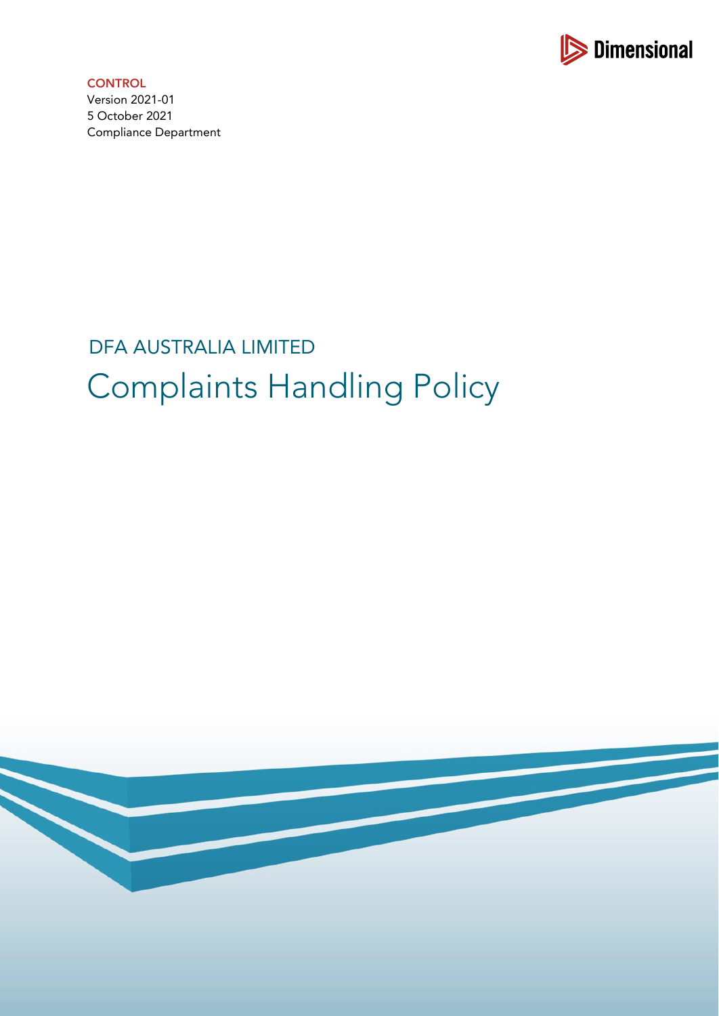

**CONTROL** Version 2021-01 5 October 2021 Compliance Department

# DFA AUSTRALIA LIMITED Complaints Handling Policy

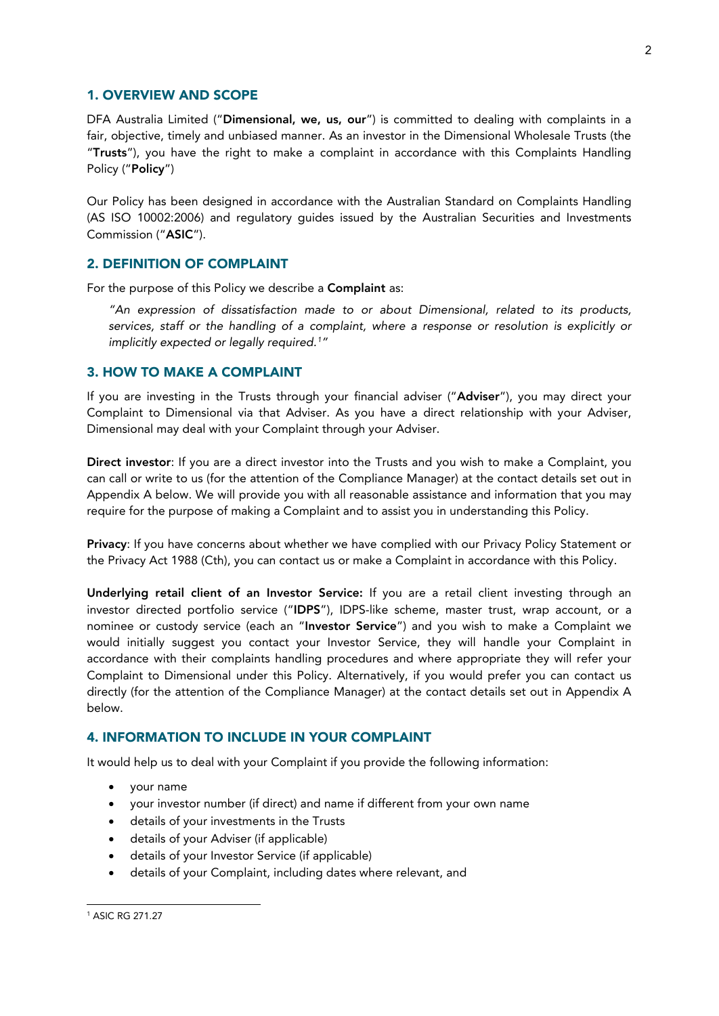#### 1. OVERVIEW AND SCOPE

DFA Australia Limited ("Dimensional, we, us, our") is committed to dealing with complaints in a fair, objective, timely and unbiased manner. As an investor in the Dimensional Wholesale Trusts (the "Trusts"), you have the right to make a complaint in accordance with this Complaints Handling Policy ("Policy")

Our Policy has been designed in accordance with the Australian Standard on Complaints Handling (AS ISO 10002:2006) and regulatory guides issued by the Australian Securities and Investments Commission ("ASIC").

#### 2. DEFINITION OF COMPLAINT

For the purpose of this Policy we describe a Complaint as:

*"An expression of dissatisfaction made to or about Dimensional, related to its products, services, staff or the handling of a complaint, where a response or resolution is explicitly or implicitly expected or legally required. [1](#page-1-0) "*

### 3. HOW TO MAKE A COMPLAINT

If you are investing in the Trusts through your financial adviser ("Adviser"), you may direct your Complaint to Dimensional via that Adviser. As you have a direct relationship with your Adviser, Dimensional may deal with your Complaint through your Adviser.

Direct investor: If you are a direct investor into the Trusts and you wish to make a Complaint, you can call or write to us (for the attention of the Compliance Manager) at the contact details set out in Appendix A below. We will provide you with all reasonable assistance and information that you may require for the purpose of making a Complaint and to assist you in understanding this Policy.

Privacy: If you have concerns about whether we have complied with our Privacy Policy Statement or the Privacy Act 1988 (Cth), you can contact us or make a Complaint in accordance with this Policy.

Underlying retail client of an Investor Service: If you are a retail client investing through an investor directed portfolio service ("IDPS"), IDPS-like scheme, master trust, wrap account, or a nominee or custody service (each an "Investor Service") and you wish to make a Complaint we would initially suggest you contact your Investor Service, they will handle your Complaint in accordance with their complaints handling procedures and where appropriate they will refer your Complaint to Dimensional under this Policy. Alternatively, if you would prefer you can contact us directly (for the attention of the Compliance Manager) at the contact details set out in Appendix A below.

#### 4. INFORMATION TO INCLUDE IN YOUR COMPLAINT

It would help us to deal with your Complaint if you provide the following information:

- your name
- your investor number (if direct) and name if different from your own name
- details of your investments in the Trusts
- details of your Adviser (if applicable)
- details of your Investor Service (if applicable)
- details of your Complaint, including dates where relevant, and

<span id="page-1-0"></span><sup>1</sup> ASIC RG 271.27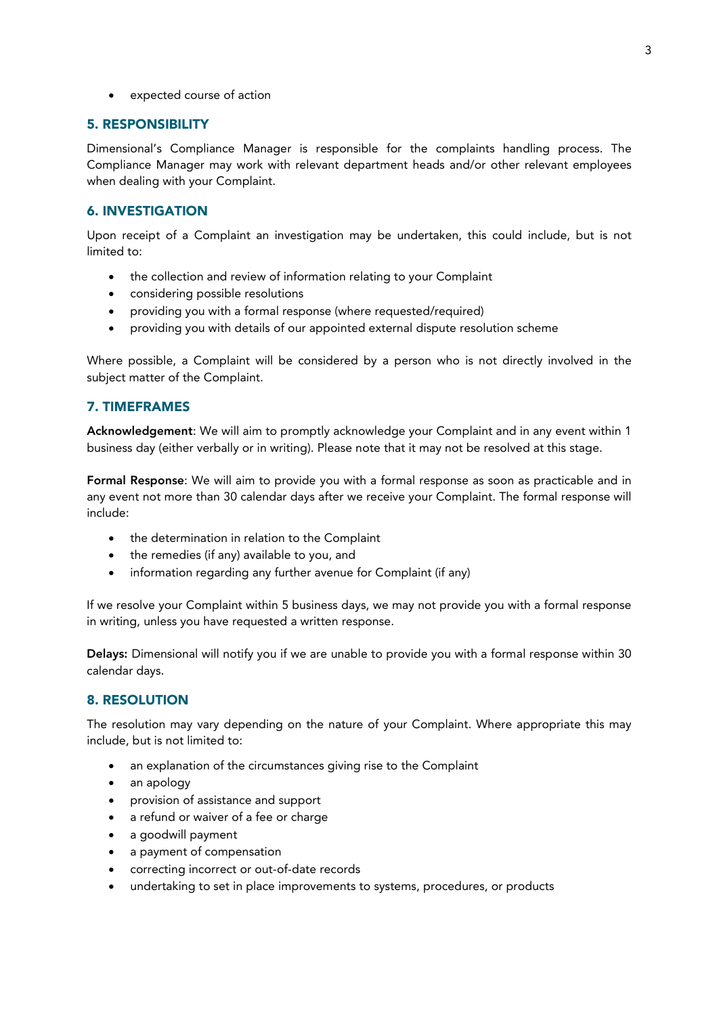• expected course of action

## 5. RESPONSIBILITY

Dimensional's Compliance Manager is responsible for the complaints handling process. The Compliance Manager may work with relevant department heads and/or other relevant employees when dealing with your Complaint.

# 6. INVESTIGATION

Upon receipt of a Complaint an investigation may be undertaken, this could include, but is not limited to:

- the collection and review of information relating to your Complaint
- considering possible resolutions
- providing you with a formal response (where requested/required)
- providing you with details of our appointed external dispute resolution scheme

Where possible, a Complaint will be considered by a person who is not directly involved in the subject matter of the Complaint.

# 7. TIMEFRAMES

Acknowledgement: We will aim to promptly acknowledge your Complaint and in any event within 1 business day (either verbally or in writing). Please note that it may not be resolved at this stage.

Formal Response: We will aim to provide you with a formal response as soon as practicable and in any event not more than 30 calendar days after we receive your Complaint. The formal response will include:

- the determination in relation to the Complaint
- the remedies (if any) available to you, and
- information regarding any further avenue for Complaint (if any)

If we resolve your Complaint within 5 business days, we may not provide you with a formal response in writing, unless you have requested a written response.

Delays: Dimensional will notify you if we are unable to provide you with a formal response within 30 calendar days.

# 8. RESOLUTION

The resolution may vary depending on the nature of your Complaint. Where appropriate this may include, but is not limited to:

- an explanation of the circumstances giving rise to the Complaint
- an apology
- provision of assistance and support
- a refund or waiver of a fee or charge
- a goodwill payment
- a payment of compensation
- correcting incorrect or out-of-date records
- undertaking to set in place improvements to systems, procedures, or products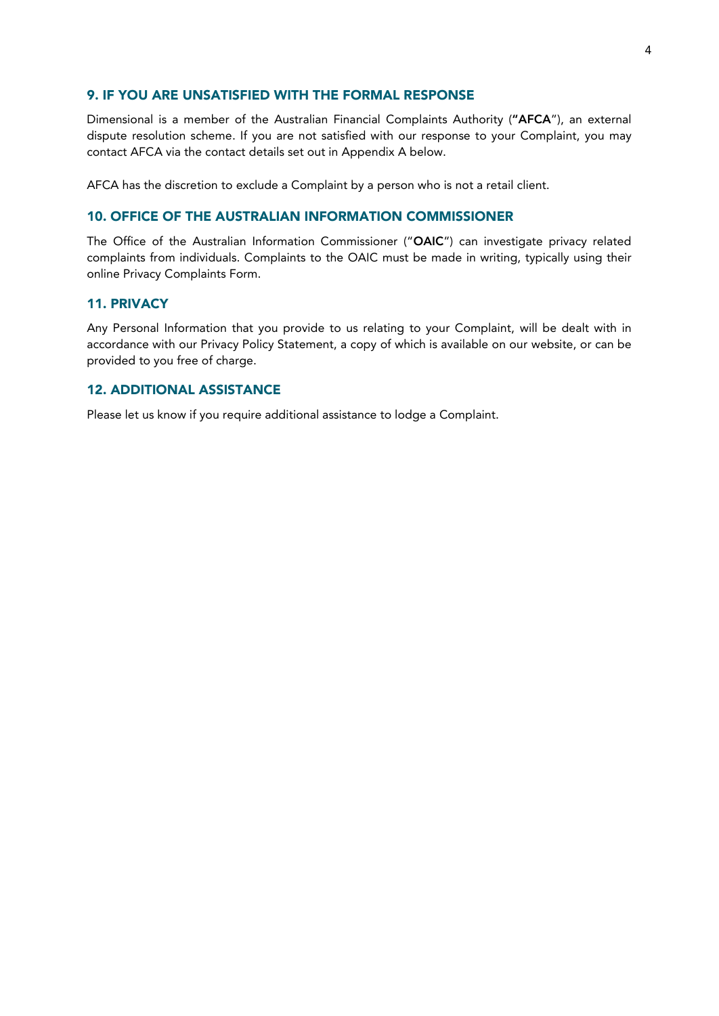#### 9. IF YOU ARE UNSATISFIED WITH THE FORMAL RESPONSE

Dimensional is a member of the Australian Financial Complaints Authority ("AFCA"), an external dispute resolution scheme. If you are not satisfied with our response to your Complaint, you may contact AFCA via the contact details set out in Appendix A below.

AFCA has the discretion to exclude a Complaint by a person who is not a retail client.

#### 10. OFFICE OF THE AUSTRALIAN INFORMATION COMMISSIONER

The Office of the Australian Information Commissioner ("OAIC") can investigate privacy related complaints from individuals. Complaints to the OAIC must be made in writing, typically using their online Privacy Complaints Form.

## 11. PRIVACY

Any Personal Information that you provide to us relating to your Complaint, will be dealt with in accordance with our Privacy Policy Statement, a copy of which is available on our website, or can be provided to you free of charge.

# 12. ADDITIONAL ASSISTANCE

Please let us know if you require additional assistance to lodge a Complaint.